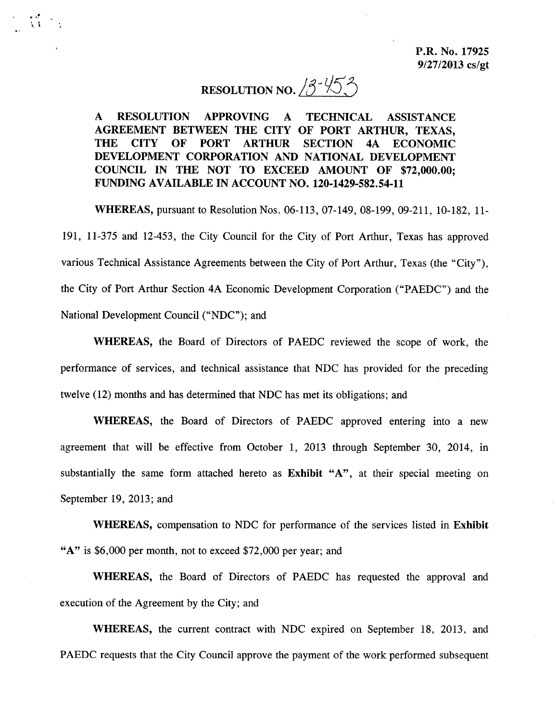# RESOLUTION NO.  $3 - 45$

 $\mathcal{L}$ 

A RESOLUTION APPROVING A TECHNICAL ASSISTANCE AGREEMENT BETWEEN THE CITY OF PORT ARTHUR, TEXAS, THE CITY OF PORT ARTHUR SECTION 4A ECONOMIC DEVELOPMENT CORPORATION AND NATIONAL DEVELOPMENT COUNCIL IN THE NOT TO EXCEED AMOUNT OF \$72,000.00; FUNDING AVAILABLE IN ACCOUNT NO. 120-1429-582.54-11

WHEREAS, pursuant to Resolution Nos. 06- 113, 07- 149, 08- 199, 09-211, 10- 182, 11- 191, 11-375 and 12-453, the City Council for the City of Port Arthur, Texas has approved various Technical Assistance Agreements between the City of Port Arthur, Texas (the "City"), the City of Port Arthur Section 4A Economic Development Corporation (" PAEDC") and the National Development Council ("NDC"); and

WHEREAS, the Board of Directors of PAEDC reviewed the scope of work, the performance of services, and technical assistance that NDC has provided for the preceding twelve ( 12) months and has determined that NDC has met its obligations; and

WHEREAS, the Board of Directors of PAEDC approved entering into <sup>a</sup> new agreement that will be effective from October 1, 2013 through September 30, 2014, in substantially the same form attached hereto as Exhibit "A", at their special meeting on September 19, 2013; and

WHEREAS, compensation to NDC for performance of the services listed in Exhibit  $A''$  is \$6,000 per month, not to exceed \$72,000 per year; and

WHEREAS, the Board of Directors of PAEDC has requested the approval and execution of the Agreement by the City; and

WHEREAS, the current contract with NDC expired on September 18, 2013, and PAEDC requests that the City Council approve the payment of the work performed subsequent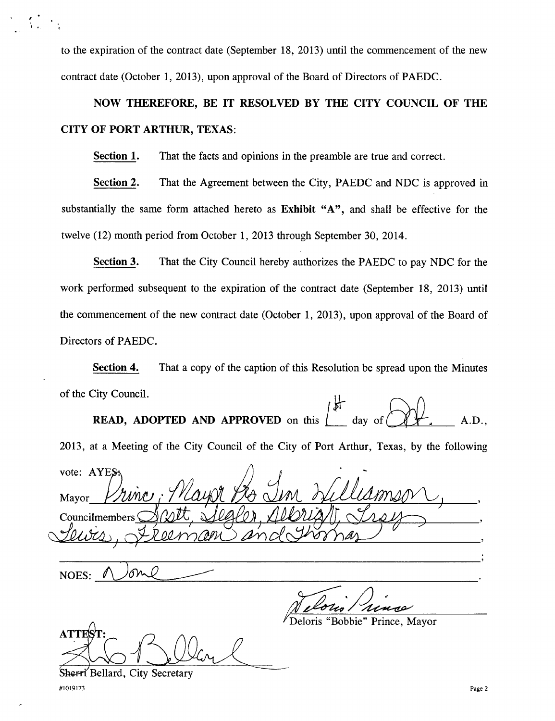to the expiration of the contract date ( September 18, 2013) until the commencement of the new contract date ( October 1, 2013), upon approval of the Board of Directors of PAEDC.

NOW THEREFORE, BE IT RESOLVED BY THE CITY COUNCIL OF THE CITY OF PORT ARTHUR, TEXAS:

Section 1. That the facts and opinions in the preamble are true and correct.

Section 2. That the Agreement between the City, PAEDC and NDC is approved in substantially the same form attached hereto as Exhibit "A", and shall be effective for the twelve (12) month period from October 1, 2013 through September 30, 2014.

Section 3. That the City Council hereby authorizes the PAEDC to pay NDC for the work performed subsequent to the expiration of the contract date (September 18, 2013) until the commencement of the new contract date ( October 1, 2013), upon approval of the Board of Directors of PAEDC.

Section 4. That <sup>a</sup> copy of the caption of this Resolution be spread upon the Minutes of the City Council.

**READ, ADOPTED AND APPROVED** on this  $\begin{bmatrix} \text{day of} \\ \text{day of} \end{bmatrix}$  + , A.D.

2013, at <sup>a</sup> Meeting of the City Council of the City of Port Arthur, Texas, by the following

vote: AYES Mayor Councilmembers  $\overline{\mathcal{L}}$  $\varrho$  ,

NOES:

ATTES

Deloris " Bobbie" Prince, Mayor

Sherri Bellard, City Secretary 1019173 Page 2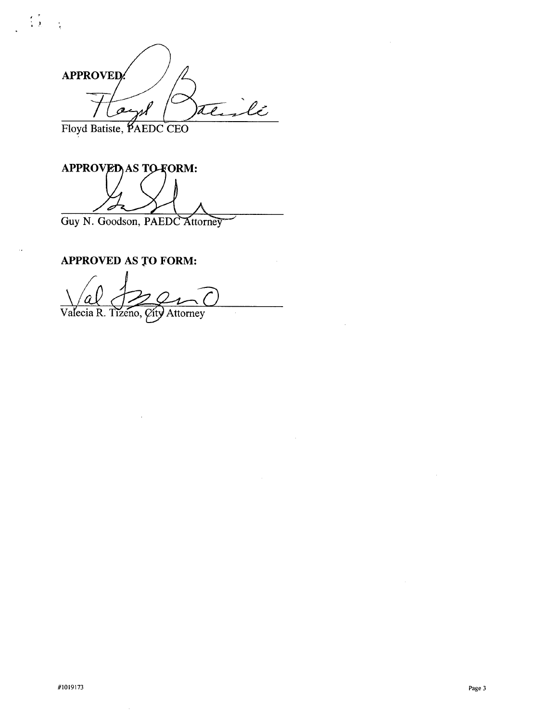**APPROVED** ilé  $\mathcal{Q}$  $\widehat{\ell\ell}$  .

Floyd Batiste, PAEDC CEO

 $\frac{1}{2}$ 

 $\mathbb{R}^2$ 

APPROVED AS TO FORM: I Guy N. Goodson, PAEDC Attorney

APPROVED AS TO FORM:

I  $\setminus$ al Valecia R. Tizeno, City Attorney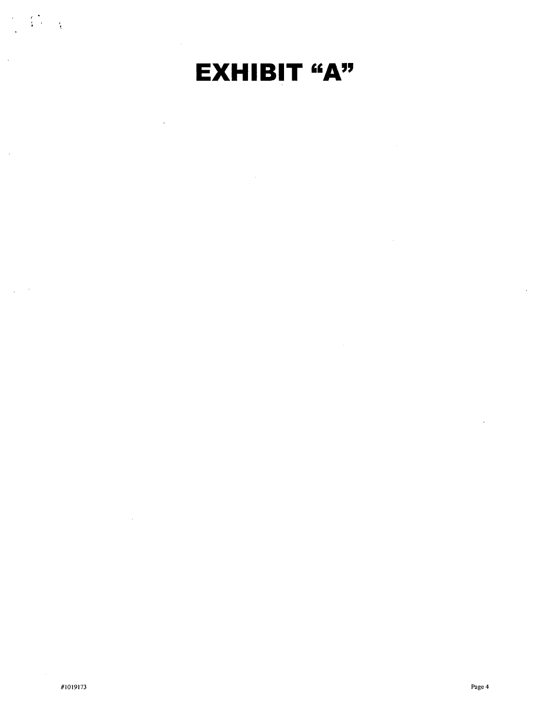

 $\mathcal{A}$ 

 $\sim$ 

 $\tilde{\mathcal{L}}_k$ 

 $\frac{1}{4}$ 

 $\frac{1}{4}$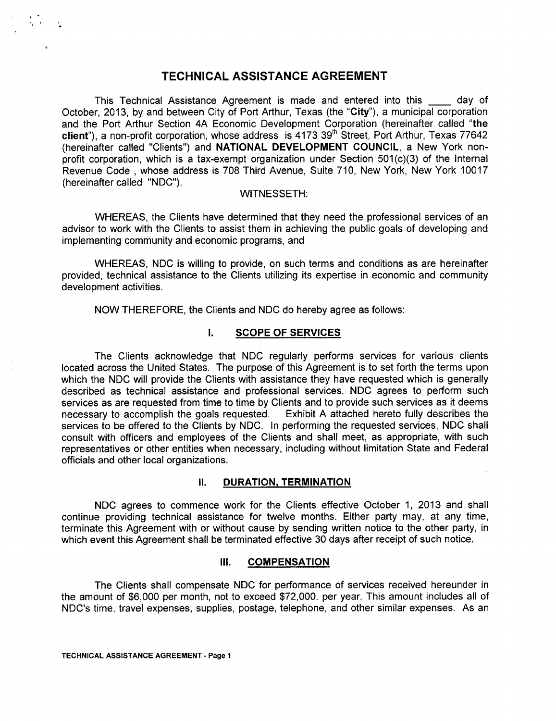## TECHNICAL ASSISTANCE AGREEMENT

This Technical Assistance Agreement is made and entered into this day of October, 2013, by and between City of Port Arthur, Texas (the "City"), a municipal corporation and the Port Arthur Section 4A Economic Development Corporation (hereinafter called "the client"), a non-profit corporation, whose address is 4173 39<sup>th</sup> Street, Port Arthur, Texas 77642 (hereinafter called "Clients") and NATIONAL DEVELOPMENT COUNCIL, a New York nonprofit corporation, which is a tax-exempt organization under Section 501(c)(3) of the Internal Revenue Code , whose address is 708 Third Avenue, Suite 710, New York, New York 10017 (hereinafter called "NDC").

#### WITNESSETH:

WHEREAS, the Clients have determined that they need the professional services of an advisor to work with the Clients to assist them in achieving the public goals of developing and implementing community and economic programs, and

WHEREAS, NDC is willing to provide, on such terms and conditions as are hereinafter provided, technical assistance to the Clients utilizing its expertise in economic and community development activities.

NOW THEREFORE, the Clients and NDC do hereby agree as follows:

### I. SCOPE OF SERVICES

The Clients acknowledge that NDC regularly performs services for various clients located across the United States. The purpose of this Agreement is to set forth the terms upon which the NDC will provide the Clients with assistance they have requested which is generally described as technical assistance and professional services. NDC agrees to perform such services as are requested from time to time by Clients and to provide such services as it deems necessary to accomplish the goals requested. Exhibit A attached hereto fully describes the services to be offered to the Clients by NDC. In performing the requested services, NDC shall consult with officers and employees of the Clients and shall meet, as appropriate, with such representatives or other entities when necessary, including without limitation State and Federal officials and other local organizations.

### **II. DURATION, TERMINATION**

NDC agrees to commence work for the Clients effective October 1, 2013 and shall continue providing technical assistance for twelve months. Either party may, at any time, terminate this Agreement with or without cause by sending written notice to the other party, in which event this Agreement shall be terminated effective 30 days after receipt of such notice.

### III. COMPENSATION

The Clients shall compensate NDC for performance of services received hereunder in the amount of \$6,000 per month, not to exceed \$72,000. per year. This amount includes all of NDC's time, travel expenses, supplies, postage, telephone, and other similar expenses. As an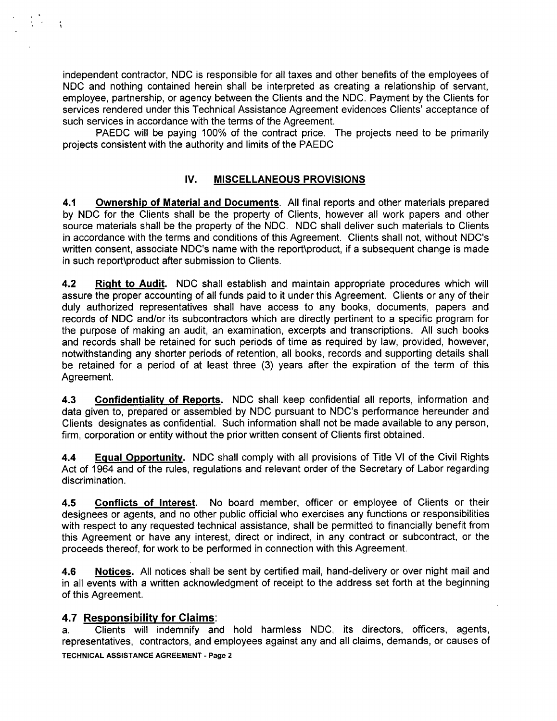independent contractor, NDC is responsible for all taxes and other benefits of the employees of NDC and nothing contained herein shall be interpreted as creating a relationship of servant, employee, partnership, or agency between the Clients and the NDC. Payment by the Clients for services rendered under this Technical Assistance Agreement evidences Clients' acceptance of such services in accordance with the terms of the Agreement.

PAEDC will be paying 100% of the contract price. The projects need to be primarily projects consistent with the authority and limits of the PAEDC

## IV. MISCELLANEOUS PROVISIONS

4.1 Ownership of Material and Documents. All final reports and other materials prepared by NDC for the Clients shall be the property of Clients, however all work papers and other source materials shall be the property of the NDC. NDC shall deliver such materials to Clients in accordance with the terms and conditions of this Agreement. Clients shall not, without NDC's written consent, associate NDC's name with the report\product, if a subsequent change is made in such report\product after submission to Clients.

4.2 Right to Audit. NDC shall establish and maintain appropriate procedures which will assure the proper accounting of all funds paid to it under this Agreement. Clients or any of their duly authorized representatives shall have access to any books, documents, papers and records of NDC and/or its subcontractors which are directly pertinent to a specific program for the purpose of making an audit, an examination, excerpts and transcriptions. All such books and records shall be retained for such periods of time as required by law, provided, however, notwithstanding any shorter periods of retention, all books, records and supporting details shall be retained for a period of at least three (3) years after the expiration of the term of this Agreement.

4.3 Confidentiality of Reports. NDC shall keep confidential all reports, information and data given to, prepared or assembled by NDC pursuant to NDC's performance hereunder and Clients designates as confidential. Such information shall not be made available to any person, firm, corporation or entity without the prior written consent of Clients first obtained.

4.4 Equal Opportunity. NDC shall comply with all provisions of Title VI of the Civil Rights Act of 1964 and of the rules, regulations and relevant order of the Secretary of Labor regarding discrimination.

4.5 Conflicts of Interest. No board member, officer or employee of Clients or their designees or agents, and no other public official who exercises any functions or responsibilities with respect to any requested technical assistance, shall be permitted to financially benefit from this Agreement or have any interest, direct or indirect, in any contract or subcontract, or the proceeds thereof, for work to be performed in connection with this Agreement.

4.6 Notices. All notices shall be sent by certified mail, hand-delivery or over night mail and in all events with a written acknowledgment of receipt to the address set forth at the beginning of this Agreement.

## 4.7 Responsibility for Claims:

a. Clients will indemnify and hold harmless NDC, its directors, officers, agents, representatives, contractors, and employees against any and all claims, demands, or causes of TECHNICAL ASSISTANCE AGREEMENT- Page 2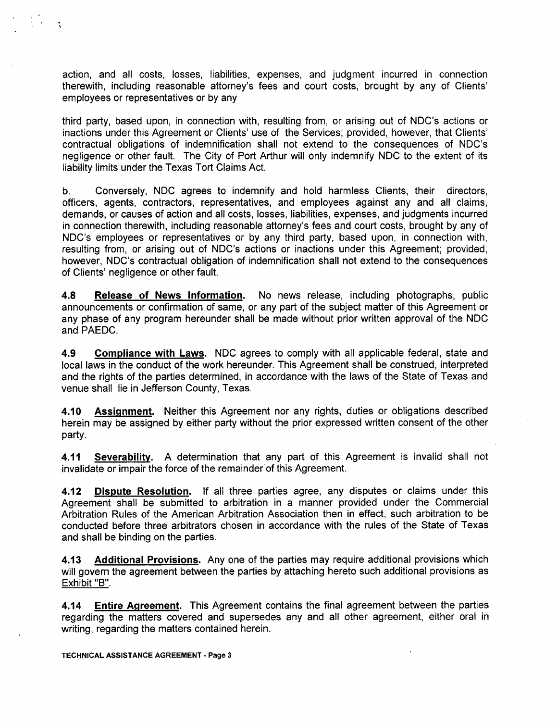action, and all costs, losses, liabilities, expenses, and judgment incurred in connection therewith, including reasonable attorney's fees and court costs, brought by any of Clients' employees or representatives or by any

third party, based upon, in connection with, resulting from, or arising out of NDC's actions or inactions under this Agreement or Clients' use of the Services; provided, however, that Clients' contractual obligations of indemnification shall not extend to the consequences of NDC's negligence or other fault. The City of Port Arthur will only indemnify NDC to the extent of its liability limits under the Texas Tort Claims Act.

b. Conversely, NDC agrees to indemnify and hold harmless Clients, their directors, officers, agents, contractors, representatives, and employees against any and all claims, demands, or causes of action and all costs, losses, liabilities, expenses, and judgments incurred in connection therewith, including reasonable attorney's fees and court costs, brought by any of NDC's employees or representatives or by any third party, based upon, in connection with, resulting from, or arising out of NDC's actions or inactions under this Agreement; provided, however, NDC's contractual obligation of indemnification shall not extend to the consequences of Clients' negligence or other fault.

4.<sup>8</sup> Release of News Information. No news release, including photographs, public announcements or confirmation of same, or any part of the subject matter of this Agreement or any phase of any program hereunder shall be made without prior written approval of the NDC and PAEDC.

4.<sup>9</sup> Compliance with Laws. NDC agrees to comply with all applicable federal, state and local laws in the conduct of the work hereunder. This Agreement shall be construed, interpreted and the rights of the parties determined, in accordance with the laws of the State of Texas and venue shall lie in Jefferson County, Texas.

4.10 **Assignment.** Neither this Agreement nor any rights, duties or obligations described herein may be assigned by either party without the prior expressed written consent of the other party.

4.11 Severability. A determination that any part of this Agreement is invalid shall not invalidate or impair the force of the remainder of this Agreement.

4.12 Dispute Resolution. If all three parties agree, any disputes or claims under this Agreement shall be submitted to arbitration in a manner provided under the Commercial Arbitration Rules of the American Arbitration Association then in effect, such arbitration to be conducted before three arbitrators chosen in accordance with the rules of the State of Texas and shall be binding on the parties.

4.13 Additional Provisions. Any one of the parties may require additional provisions which will govern the agreement between the parties by attaching hereto such additional provisions as Exhibit "B".

4.14 Entire Agreement. This Agreement contains the final agreement between the parties regarding the matters covered and supersedes any and all other agreement, either oral in writing, regarding the matters contained herein.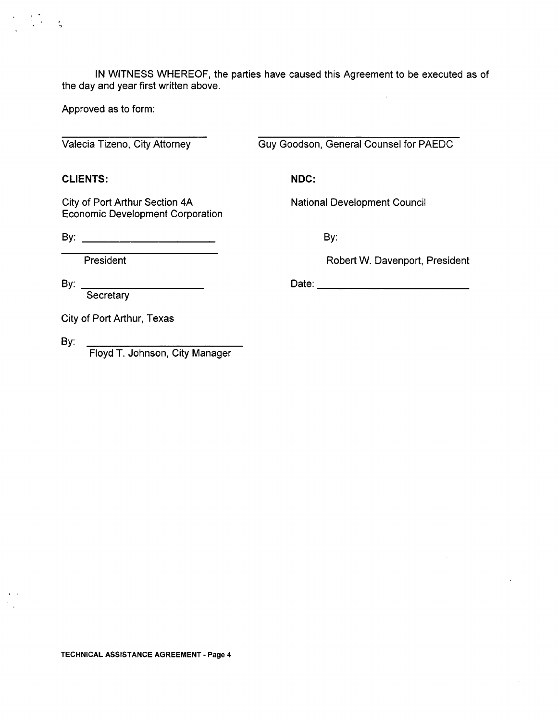IN WITNESS WHEREOF, the parties have caused this Agreement to be executed as of the day and year first written above.

Approved as to form:

Valecia Tizeno, City Attorney Guy Goodson, General Counsel for PAEDC

CLIENTS: NDC:

City of Port Arthur Section 4A National Development Council Economic Development Corporation

By: By:

President **President** Robert W. Davenport, President

**Secretary** 

By: Date:

City of Port Arthur, Texas

By:

Floyd T. Johnson, City Manager

TECHNICAL ASSISTANCE AGREEMENT- Page 4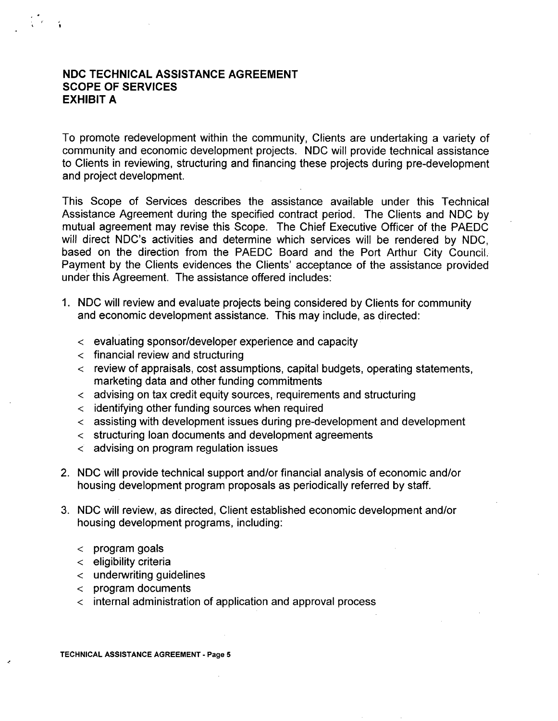## NDC TECHNICAL ASSISTANCE AGREEMENT SCOPE OF SERVICES EXHIBIT A

c y

To promote redevelopment within the community, Clients are undertaking a variety of community and economic development projects. NDC will provide technical assistance to Clients in reviewing, structuring and financing these projects during pre-development and project development.

This Scope of Services describes the assistance available under this Technical Assistance Agreement during the specified contract period. The Clients and NDC by mutual agreement may revise this Scope. The Chief Executive Officer of the PAEDC will direct NDC's activities and determine which services will be rendered by NDC. based on the direction from the PAEDC Board and the Port Arthur City Council. Payment by the Clients evidences the Clients' acceptance of the assistance provided under this Agreement. The assistance offered includes:

- 1. NDC will review and evaluate projects being considered by Clients for community and economic development assistance. This may include, as directed:
	- $\epsilon$  evaluating sponsor/developer experience and capacity
	- $\epsilon$  financial review and structuring
	- $\epsilon$  review of appraisals, cost assumptions, capital budgets, operating statements, marketing data and other funding commitments
	- advising on tax credit equity sources, requirements and structuring
	- identifying other funding sources when required
	- assisting with development issues during pre-development and development
	- $\epsilon$  structuring loan documents and development agreements
	- $\langle$  advising on program regulation issues
- 2. NDC will provide technical support and/or financial analysis of economic and/or housing development program proposals as periodically referred by staff.
- 3. NDC will review, as directed, Client established economic development and/or housing development programs, including:
	- $\epsilon$  program goals
	- $\epsilon$  eligibility criteria
	- underwriting guidelines
	- $\epsilon$  program documents
	- $\epsilon$  internal administration of application and approval process